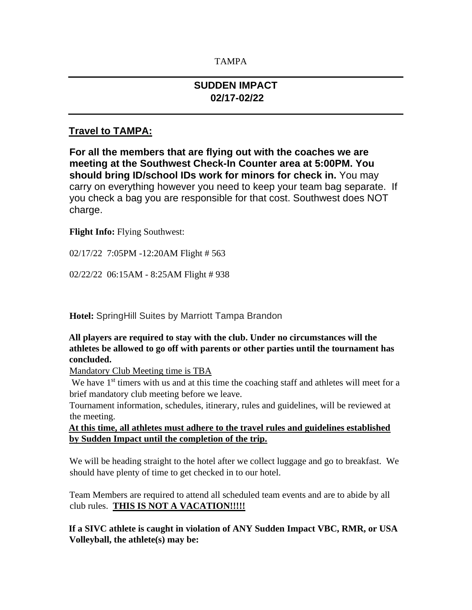### TAMPA

## **SUDDEN IMPACT 02/17-02/22**

## **Travel to TAMPA:**

**For all the members that are flying out with the coaches we are meeting at the Southwest Check-In Counter area at 5:00PM. You should bring ID/school IDs work for minors for check in.** You may carry on everything however you need to keep your team bag separate. If you check a bag you are responsible for that cost. Southwest does NOT charge.

#### **Flight Info:** Flying Southwest:

02/17/22 7:05PM -12:20AM Flight # 563

02/22/22 06:15AM - 8:25AM Flight # 938

**Hotel:** SpringHill Suites by Marriott Tampa Brandon

#### **All players are required to stay with the club. Under no circumstances will the athletes be allowed to go off with parents or other parties until the tournament has concluded.**

Mandatory Club Meeting time is TBA

We have 1<sup>st</sup> timers with us and at this time the coaching staff and athletes will meet for a brief mandatory club meeting before we leave.

Tournament information, schedules, itinerary, rules and guidelines, will be reviewed at the meeting.

**At this time, all athletes must adhere to the travel rules and guidelines established by Sudden Impact until the completion of the trip.**

We will be heading straight to the hotel after we collect luggage and go to breakfast. We should have plenty of time to get checked in to our hotel.

Team Members are required to attend all scheduled team events and are to abide by all club rules. **THIS IS NOT A VACATION!!!!!**

**If a SIVC athlete is caught in violation of ANY Sudden Impact VBC, RMR, or USA Volleyball, the athlete(s) may be:**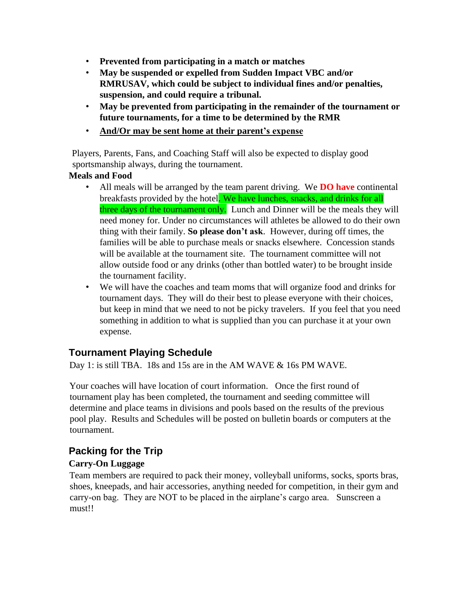- **Prevented from participating in a match or matches**
- **May be suspended or expelled from Sudden Impact VBC and/or RMRUSAV, which could be subject to individual fines and/or penalties, suspension, and could require a tribunal.**
- **May be prevented from participating in the remainder of the tournament or future tournaments, for a time to be determined by the RMR**
- **And/Or may be sent home at their parent's expense**

Players, Parents, Fans, and Coaching Staff will also be expected to display good sportsmanship always, during the tournament.

### **Meals and Food**

- All meals will be arranged by the team parent driving. We **DO have** continental breakfasts provided by the hotel. We have lunches, snacks, and drinks for all three days of the tournament only. Lunch and Dinner will be the meals they will need money for. Under no circumstances will athletes be allowed to do their own thing with their family. **So please don't ask**. However, during off times, the families will be able to purchase meals or snacks elsewhere. Concession stands will be available at the tournament site. The tournament committee will not allow outside food or any drinks (other than bottled water) to be brought inside the tournament facility.
- We will have the coaches and team moms that will organize food and drinks for tournament days. They will do their best to please everyone with their choices, but keep in mind that we need to not be picky travelers. If you feel that you need something in addition to what is supplied than you can purchase it at your own expense.

# **Tournament Playing Schedule**

Day 1: is still TBA. 18s and 15s are in the AM WAVE & 16s PM WAVE.

Your coaches will have location of court information. Once the first round of tournament play has been completed, the tournament and seeding committee will determine and place teams in divisions and pools based on the results of the previous pool play. Results and Schedules will be posted on bulletin boards or computers at the tournament.

# **Packing for the Trip**

### **Carry-On Luggage**

Team members are required to pack their money, volleyball uniforms, socks, sports bras, shoes, kneepads, and hair accessories, anything needed for competition, in their gym and carry-on bag. They are NOT to be placed in the airplane's cargo area. Sunscreen a must!!